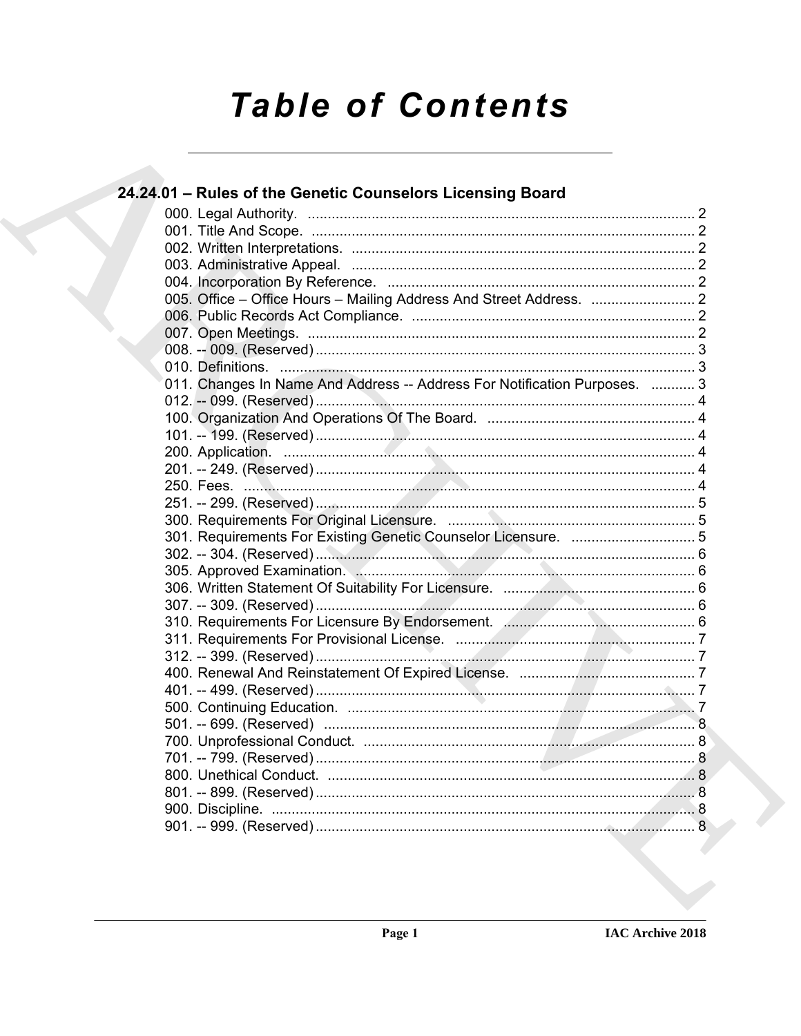# **Table of Contents**

| 24.24.01 - Rules of the Genetic Counselors Licensing Board                |  |
|---------------------------------------------------------------------------|--|
|                                                                           |  |
|                                                                           |  |
|                                                                           |  |
|                                                                           |  |
|                                                                           |  |
|                                                                           |  |
|                                                                           |  |
|                                                                           |  |
|                                                                           |  |
|                                                                           |  |
| 011. Changes In Name And Address -- Address For Notification Purposes.  3 |  |
|                                                                           |  |
|                                                                           |  |
|                                                                           |  |
|                                                                           |  |
|                                                                           |  |
|                                                                           |  |
|                                                                           |  |
|                                                                           |  |
|                                                                           |  |
|                                                                           |  |
|                                                                           |  |
|                                                                           |  |
|                                                                           |  |
|                                                                           |  |
|                                                                           |  |
|                                                                           |  |
|                                                                           |  |
|                                                                           |  |
|                                                                           |  |
|                                                                           |  |
|                                                                           |  |
|                                                                           |  |
|                                                                           |  |
|                                                                           |  |
|                                                                           |  |
|                                                                           |  |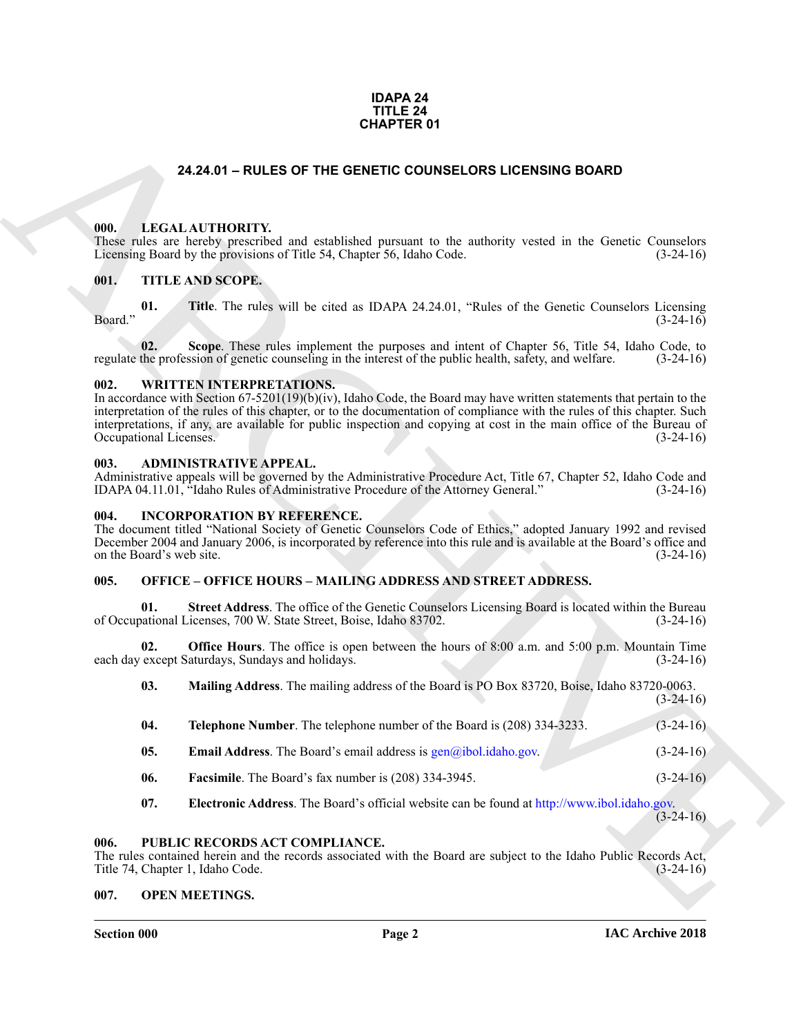# **IDAPA 24 TITLE 24 CHAPTER 01**

# **24.24.01 – RULES OF THE GENETIC COUNSELORS LICENSING BOARD**

# <span id="page-1-11"></span><span id="page-1-1"></span><span id="page-1-0"></span>**000. LEGAL AUTHORITY.**

These rules are hereby prescribed and established pursuant to the authority vested in the Genetic Counselors Licensing Board by the provisions of Title 54, Chapter 56, Idaho Code. (3-24-16)

# <span id="page-1-15"></span><span id="page-1-2"></span>**001. TITLE AND SCOPE.**

**01.** Title. The rules will be cited as IDAPA 24.24.01, "Rules of the Genetic Counselors Licensing (3-24-16)  $\beta$ Board."  $(3-24-16)$ 

**02.** Scope. These rules implement the purposes and intent of Chapter 56, Title 54, Idaho Code, to the profession of genetic counseling in the interest of the public health, safety, and welfare. (3-24-16) regulate the profession of genetic counseling in the interest of the public health, safety, and welfare.

# <span id="page-1-16"></span><span id="page-1-3"></span>**002. WRITTEN INTERPRETATIONS.**

**24.24.01 – RULES OF THE GENERIC OUNSELLORS LICENSING BOARD<br>
1991.** LECAL ALTITORITY: and coulfided pension to the authority vessed in the Generic Counselisty<br>
1991. THE KNN SCOPE.<br>
1991. THE KNN SCOPE.<br>
1991. THE KNN SCO In accordance with Section 67-5201(19)(b)(iv), Idaho Code, the Board may have written statements that pertain to the interpretation of the rules of this chapter, or to the documentation of compliance with the rules of this chapter. Such interpretations, if any, are available for public inspection and copying at cost in the main office of the Bureau of Occupational Licenses. (3-24-16)

# <span id="page-1-9"></span><span id="page-1-4"></span>**003. ADMINISTRATIVE APPEAL.**

Administrative appeals will be governed by the Administrative Procedure Act, Title 67, Chapter 52, Idaho Code and IDAPA 04.11.01, "Idaho Rules of Administrative Procedure of the Attorney General." (3-24-16)

# <span id="page-1-10"></span><span id="page-1-5"></span>**004. INCORPORATION BY REFERENCE.**

The document titled "National Society of Genetic Counselors Code of Ethics," adopted January 1992 and revised December 2004 and January 2006, is incorporated by reference into this rule and is available at the Board's office and on the Board's web site. (3-24-16)

# <span id="page-1-12"></span><span id="page-1-6"></span>**005. OFFICE – OFFICE HOURS – MAILING ADDRESS AND STREET ADDRESS.**

**Street Address**. The office of the Genetic Counselors Licensing Board is located within the Bureau of Occupational Licenses, 700 W. State Street, Boise, Idaho 83702. (3-24-16)

**02. Office Hours**. The office is open between the hours of 8:00 a.m. and 5:00 p.m. Mountain Time except Saturdays, Sundays and holidays. (3-24-16) each day except Saturdays, Sundays and holidays.

| 03. | Mailing Address. The mailing address of the Board is PO Box 83720, Boise, Idaho 83720-0063. |  |  |  |             |
|-----|---------------------------------------------------------------------------------------------|--|--|--|-------------|
|     |                                                                                             |  |  |  | $(3-24-16)$ |

| 04. | <b>Telephone Number.</b> The telephone number of the Board is (208) 334-3233. | $(3-24-16)$ |
|-----|-------------------------------------------------------------------------------|-------------|
| 05. | <b>Email Address.</b> The Board's email address is $gen@ibol.idaho.gov$ .     | $(3-24-16)$ |
|     |                                                                               |             |

- **06. Facsimile**. The Board's fax number is (208) 334-3945. (3-24-16)
- <span id="page-1-14"></span>**07. Electronic Address**. The Board's official website can be found at http://www.ibol.idaho.gov.  $(3-24-16)$

# <span id="page-1-7"></span>**006. PUBLIC RECORDS ACT COMPLIANCE.**

The rules contained herein and the records associated with the Board are subject to the Idaho Public Records Act, Title 74, Chapter 1, Idaho Code. (3-24-16)

# <span id="page-1-13"></span><span id="page-1-8"></span>**007. OPEN MEETINGS.**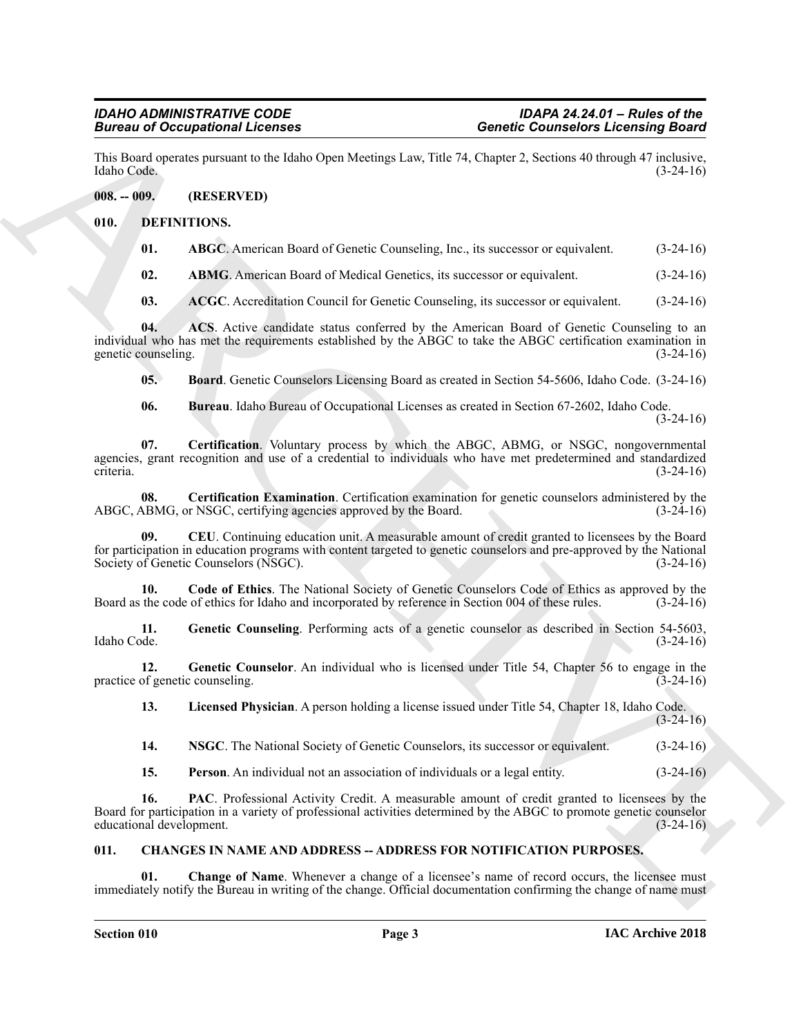This Board operates pursuant to the Idaho Open Meetings Law, Title 74, Chapter 2, Sections 40 through 47 inclusive, Idaho Code. (3-24-16)

# <span id="page-2-0"></span>**008. -- 009. (RESERVED)**

# <span id="page-2-1"></span>**010. DEFINITIONS.**

<span id="page-2-6"></span><span id="page-2-5"></span>

| 01. | ABGC. American Board of Genetic Counseling, Inc., its successor or equivalent. |  | $(3-24-16)$ |
|-----|--------------------------------------------------------------------------------|--|-------------|
|-----|--------------------------------------------------------------------------------|--|-------------|

<span id="page-2-7"></span>**02. ABMG**. American Board of Medical Genetics, its successor or equivalent. (3-24-16)

<span id="page-2-9"></span><span id="page-2-8"></span>**03.** ACGC. Accreditation Council for Genetic Counseling, its successor or equivalent. (3-24-16)

**04. ACS**. Active candidate status conferred by the American Board of Genetic Counseling to an individual who has met the requirements established by the ABGC to take the ABGC certification examination in genetic counseling. (3-24-16)

<span id="page-2-10"></span>**05. Board**. Genetic Counselors Licensing Board as created in Section 54-5606, Idaho Code. (3-24-16)

<span id="page-2-13"></span><span id="page-2-12"></span><span id="page-2-11"></span>**06. Bureau**. Idaho Bureau of Occupational Licenses as created in Section 67-2602, Idaho Code. (3-24-16)

**Since the Control Control of Control Control Control of Control Control Control Control of Control Control Control Control Control Control Control Control Control Control Control Control Control Control Control Control C 07. Certification**. Voluntary process by which the ABGC, ABMG, or NSGC, nongovernmental agencies, grant recognition and use of a credential to individuals who have met predetermined and standardized criteria. (3-24-16)

**08.** Certification Examination. Certification examination for genetic counselors administered by the ABMG, or NSGC, certifying agencies approved by the Board. (3-24-16) ABGC, ABMG, or NSGC, certifying agencies approved by the Board.

<span id="page-2-14"></span>**09. CEU**. Continuing education unit. A measurable amount of credit granted to licensees by the Board for participation in education programs with content targeted to genetic counselors and pre-approved by the National Society of Genetic Counselors (NSGC). (3-24-16)

<span id="page-2-15"></span>**10.** Code of Ethics. The National Society of Genetic Counselors Code of Ethics as approved by the the code of ethics for Idaho and incorporated by reference in Section 004 of these rules. (3-24-16) Board as the code of ethics for Idaho and incorporated by reference in Section 004 of these rules.

<span id="page-2-16"></span>**11.** Genetic Counseling. Performing acts of a genetic counselor as described in Section 54-5603, Idaho Code. (3-24-16) Idaho Code. (3-24-16)

**12.** Genetic Counselor. An individual who is licensed under Title 54, Chapter 56 to engage in the of genetic counseling. (3-24-16) practice of genetic counseling.

<span id="page-2-18"></span><span id="page-2-17"></span>**13. Licensed Physician**. A person holding a license issued under Title 54, Chapter 18, Idaho Code.

 $(3-24-16)$ 

<span id="page-2-19"></span>**14. NSGC**. The National Society of Genetic Counselors, its successor or equivalent. (3-24-16)

<span id="page-2-21"></span><span id="page-2-20"></span>**15. Person**. An individual not an association of individuals or a legal entity. (3-24-16)

**16. PAC**. Professional Activity Credit. A measurable amount of credit granted to licensees by the Board for participation in a variety of professional activities determined by the ABGC to promote genetic counselor educational development. (3-24-16)

# <span id="page-2-3"></span><span id="page-2-2"></span>**011. CHANGES IN NAME AND ADDRESS -- ADDRESS FOR NOTIFICATION PURPOSES.**

<span id="page-2-4"></span>**Change of Name.** Whenever a change of a licensee's name of record occurs, the licensee must immediately notify the Bureau in writing of the change. Official documentation confirming the change of name must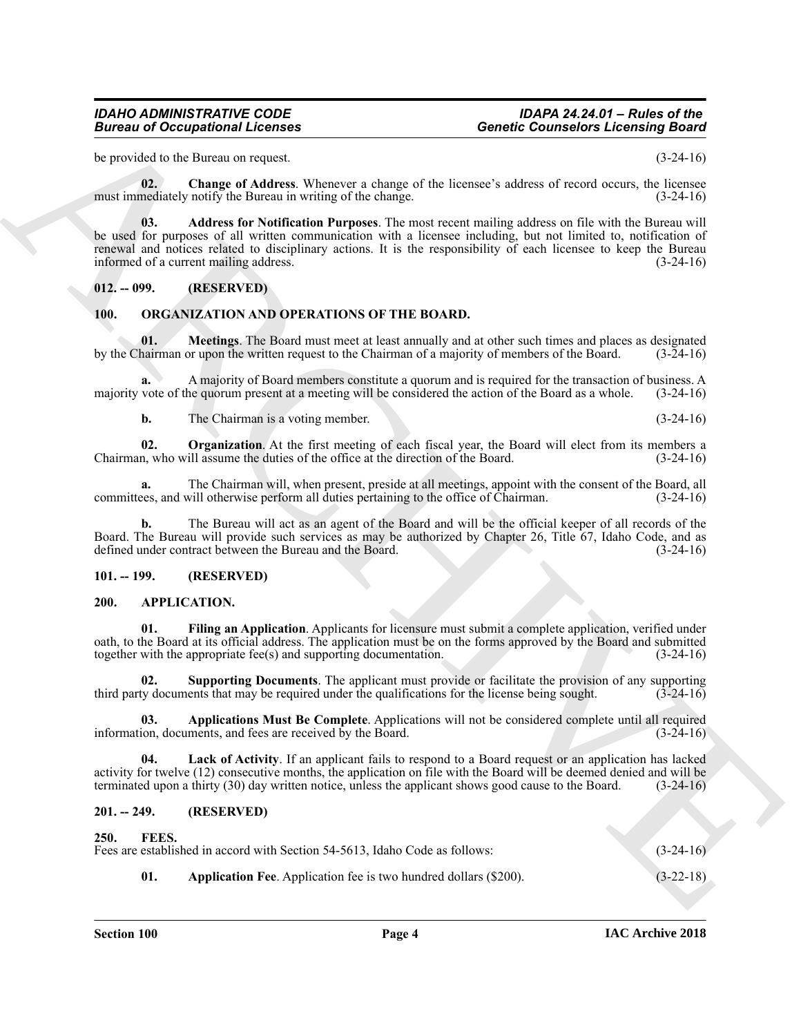# *IDAHO ADMINISTRATIVE CODE IDAPA 24.24.01 – Rules of the Bureau of Occupational Licenses Genetic Counselors Licensing Board*

be provided to the Bureau on request. (3-24-16)

<span id="page-3-12"></span>**02. Change of Address**. Whenever a change of the licensee's address of record occurs, the licensee must immediately notify the Bureau in writing of the change. (3-24-16)

<span id="page-3-11"></span>**03. Address for Notification Purposes**. The most recent mailing address on file with the Bureau will be used for purposes of all written communication with a licensee including, but not limited to, notification of renewal and notices related to disciplinary actions. It is the responsibility of each licensee to keep the Bureau informed of a current mailing address. (3-24-16)

# <span id="page-3-0"></span>**012. -- 099. (RESERVED)**

# <span id="page-3-16"></span><span id="page-3-15"></span><span id="page-3-1"></span>**100. ORGANIZATION AND OPERATIONS OF THE BOARD.**

**01. Meetings**. The Board must meet at least annually and at other such times and places as designated by the Chairman or upon the written request to the Chairman of a majority of members of the Board. (3-24-16)

**a.** A majority of Board members constitute a quorum and is required for the transaction of business. A majority vote of the quorum present at a meeting will be considered the action of the Board as a whole. (3-24-16)

<span id="page-3-17"></span>**b.** The Chairman is a voting member. (3-24-16)

**02. Organization**. At the first meeting of each fiscal year, the Board will elect from its members a Chairman, who will assume the duties of the office at the direction of the Board. (3-24-16)

**a.** The Chairman will, when present, preside at all meetings, appoint with the consent of the Board, all committees, and will otherwise perform all duties pertaining to the office of Chairman. (3-24-16)

**b.** The Bureau will act as an agent of the Board and will be the official keeper of all records of the Board. The Bureau will provide such services as may be authorized by Chapter 26, Title 67, Idaho Code, and as defined under contract between the Bureau and the Board. (3-24-16)

# <span id="page-3-2"></span>**101. -- 199. (RESERVED)**

# <span id="page-3-6"></span><span id="page-3-3"></span>**200. APPLICATION.**

<span id="page-3-8"></span>**01. Filing an Application**. Applicants for licensure must submit a complete application, verified under oath, to the Board at its official address. The application must be on the forms approved by the Board and submitted together with the appropriate fee(s) and supporting documentation. (3-24-16)

<span id="page-3-10"></span>**02. Supporting Documents**. The applicant must provide or facilitate the provision of any supporting third party documents that may be required under the qualifications for the license being sought. (3-24-16)

<span id="page-3-7"></span>**03. Applications Must Be Complete**. Applications will not be considered complete until all required information, documents, and fees are received by the Board. (3-24-16)

<span id="page-3-9"></span>**04. Lack of Activity**. If an applicant fails to respond to a Board request or an application has lacked activity for twelve (12) consecutive months, the application on file with the Board will be deemed denied and will be terminated upon a thirty (30) day written notice, unless the applicant shows good cause to the Board. (3-24-16)

# <span id="page-3-14"></span><span id="page-3-13"></span><span id="page-3-5"></span><span id="page-3-4"></span>**201. -- 249. (RESERVED)**

# Given to Cocapsion of Leonards<br>
Sensete Counter of the line was a dense of the line was a dense of second to the sense of the sense of the sense of the sense of the sense of the sense of the sense of the sense of the sens **250. FEES.** Fees are established in accord with Section 54-5613, Idaho Code as follows: (3-24-16) **01. Application Fee**. Application fee is two hundred dollars (\$200). (3-22-18)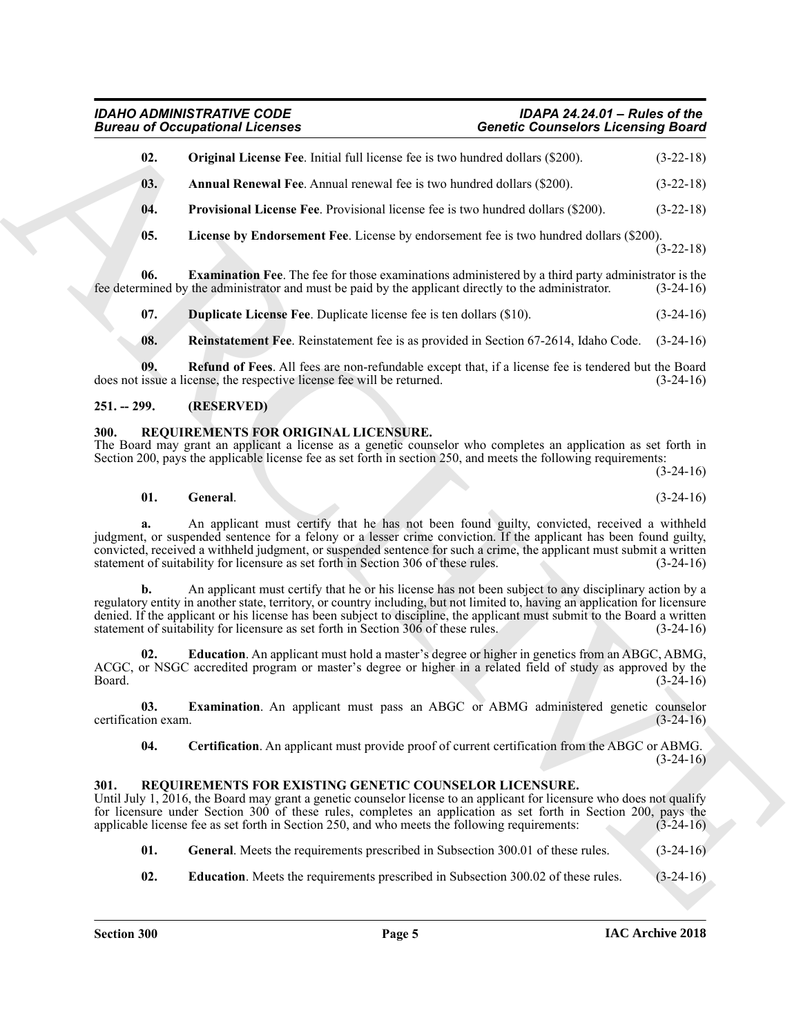# <span id="page-4-8"></span><span id="page-4-7"></span><span id="page-4-6"></span><span id="page-4-3"></span>*IDAHO ADMINISTRATIVE CODE IDAPA 24.24.01 – Rules of the Bureau of Occupational Licenses Genetic Counselors Licensing Board*

|                             | <b>Bureau of Occupational Licenses</b>                                                                                                                                                                                                                                                                                                                                                                                                                  | <b>Genetic Counselors Licensing Board</b>                |  |  |  |
|-----------------------------|---------------------------------------------------------------------------------------------------------------------------------------------------------------------------------------------------------------------------------------------------------------------------------------------------------------------------------------------------------------------------------------------------------------------------------------------------------|----------------------------------------------------------|--|--|--|
| 02.                         | <b>Original License Fee.</b> Initial full license fee is two hundred dollars (\$200).                                                                                                                                                                                                                                                                                                                                                                   | $(3-22-18)$                                              |  |  |  |
| 03.                         | <b>Annual Renewal Fee.</b> Annual renewal fee is two hundred dollars (\$200).                                                                                                                                                                                                                                                                                                                                                                           | $(3-22-18)$                                              |  |  |  |
| 04.                         | <b>Provisional License Fee.</b> Provisional license fee is two hundred dollars (\$200).                                                                                                                                                                                                                                                                                                                                                                 | $(3-22-18)$                                              |  |  |  |
| 05.                         | License by Endorsement Fee. License by endorsement fee is two hundred dollars (\$200).                                                                                                                                                                                                                                                                                                                                                                  | $(3-22-18)$                                              |  |  |  |
| 06.                         | <b>Examination Fee.</b> The fee for those examinations administered by a third party administrator is the<br>fee determined by the administrator and must be paid by the applicant directly to the administrator.                                                                                                                                                                                                                                       | $(3-24-16)$                                              |  |  |  |
| 07.                         | <b>Duplicate License Fee.</b> Duplicate license fee is ten dollars (\$10).                                                                                                                                                                                                                                                                                                                                                                              | $(3-24-16)$                                              |  |  |  |
| 08.                         | <b>Reinstatement Fee.</b> Reinstatement fee is as provided in Section 67-2614, Idaho Code. (3-24-16)                                                                                                                                                                                                                                                                                                                                                    |                                                          |  |  |  |
| 09.                         | Refund of Fees. All fees are non-refundable except that, if a license fee is tendered but the Board<br>does not issue a license, the respective license fee will be returned.                                                                                                                                                                                                                                                                           | $(3-24-16)$                                              |  |  |  |
| $251. - 299.$               | (RESERVED)                                                                                                                                                                                                                                                                                                                                                                                                                                              |                                                          |  |  |  |
| 300.                        | REQUIREMENTS FOR ORIGINAL LICENSURE.<br>The Board may grant an applicant a license as a genetic counselor who completes an application as set forth in<br>Section 200, pays the applicable license fee as set forth in section 250, and meets the following requirements:                                                                                                                                                                               | $(3-24-16)$                                              |  |  |  |
| 01.                         | General.                                                                                                                                                                                                                                                                                                                                                                                                                                                | $(3-24-16)$                                              |  |  |  |
|                             | An applicant must certify that he has not been found guilty, convicted, received a withheld<br>judgment, or suspended sentence for a felony or a lesser crime conviction. If the applicant has been found guilty,<br>convicted, received a withheld judgment, or suspended sentence for such a crime, the applicant must submit a written<br>statement of suitability for licensure as set forth in Section 306 of these rules.                         | $(3-24-16)$                                              |  |  |  |
| b.                          | An applicant must certify that he or his license has not been subject to any disciplinary action by a<br>regulatory entity in another state, territory, or country including, but not limited to, having an application for licensure<br>denied. If the applicant or his license has been subject to discipline, the applicant must submit to the Board a written<br>statement of suitability for licensure as set forth in Section 306 of these rules. | $(3-24-16)$                                              |  |  |  |
| 02.<br>Board.               | <b>Education</b> . An applicant must hold a master's degree or higher in genetics from an ABGC, ABMG,<br>ACGC, or NSGC accredited program or master's degree or higher in a related field of study as approved by the                                                                                                                                                                                                                                   | $(3-24-16)$                                              |  |  |  |
|                             | Examination. An applicant must pass an ABGC or ABMG administered genetic counselor                                                                                                                                                                                                                                                                                                                                                                      |                                                          |  |  |  |
| 03.                         |                                                                                                                                                                                                                                                                                                                                                                                                                                                         |                                                          |  |  |  |
| 04.                         | Certification. An applicant must provide proof of current certification from the ABGC or ABMG.                                                                                                                                                                                                                                                                                                                                                          |                                                          |  |  |  |
| certification exam.<br>301. | REQUIREMENTS FOR EXISTING GENETIC COUNSELOR LICENSURE.<br>Until July 1, 2016, the Board may grant a genetic counselor license to an applicant for licensure who does not qualify<br>for licensure under Section 300 of these rules, completes an application as set forth in Section 200, pays the<br>applicable license fee as set forth in Section 250, and who meets the following requirements:                                                     |                                                          |  |  |  |
| 01.                         | General. Meets the requirements prescribed in Subsection 300.01 of these rules.                                                                                                                                                                                                                                                                                                                                                                         | $(3-24-16)$<br>$(3-24-16)$<br>$(3-24-16)$<br>$(3-24-16)$ |  |  |  |

# <span id="page-4-10"></span><span id="page-4-9"></span><span id="page-4-5"></span><span id="page-4-4"></span><span id="page-4-0"></span>**251. -- 299. (RESERVED)**

# <span id="page-4-17"></span><span id="page-4-14"></span><span id="page-4-1"></span>**300. REQUIREMENTS FOR ORIGINAL LICENSURE.**

# <span id="page-4-16"></span><span id="page-4-15"></span><span id="page-4-11"></span><span id="page-4-2"></span>**301. REQUIREMENTS FOR EXISTING GENETIC COUNSELOR LICENSURE.**

- <span id="page-4-13"></span><span id="page-4-12"></span>**01.** General. Meets the requirements prescribed in Subsection 300.01 of these rules. (3-24-16)
- **02. Education**. Meets the requirements prescribed in Subsection 300.02 of these rules. (3-24-16)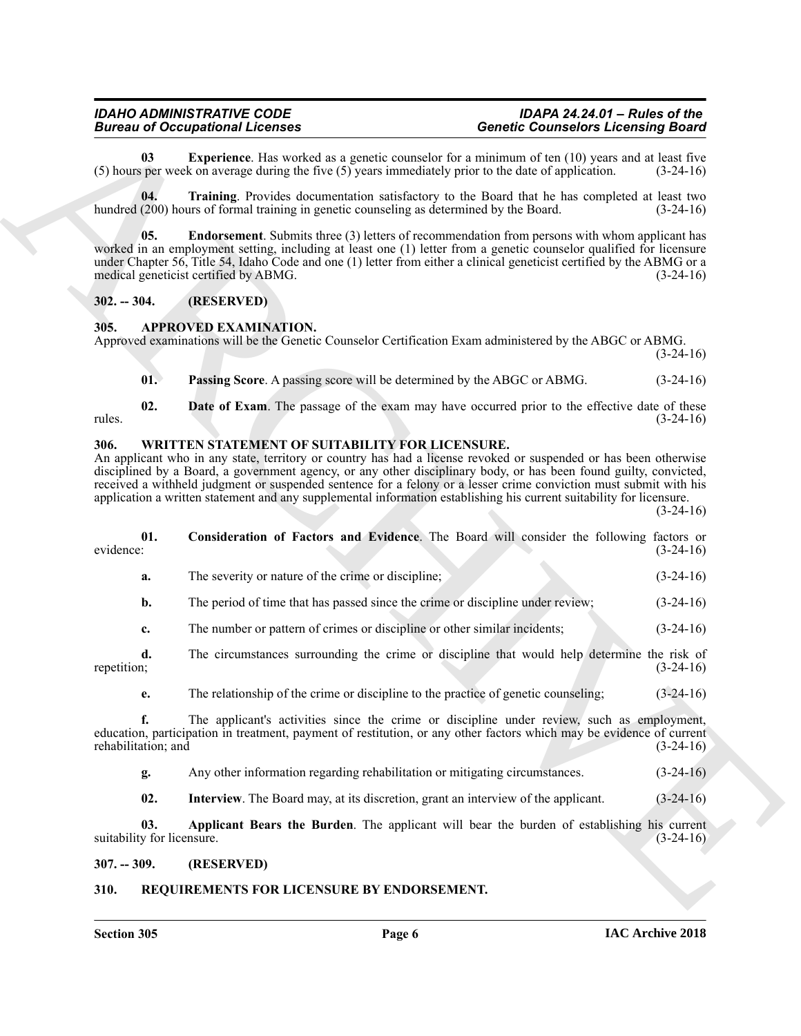<span id="page-5-9"></span>**03** Experience. Has worked as a genetic counselor for a minimum of ten (10) years and at least five sper week on average during the five (5) years immediately prior to the date of application. (3-24-16) (5) hours per week on average during the five  $(5)$  years immediately prior to the date of application.

<span id="page-5-10"></span>**04. Training**. Provides documentation satisfactory to the Board that he has completed at least two hundred (200) hours of formal training in genetic counseling as determined by the Board. (3-24-16)

<span id="page-5-8"></span>**05. Endorsement**. Submits three (3) letters of recommendation from persons with whom applicant has worked in an employment setting, including at least one (1) letter from a genetic counselor qualified for licensure under Chapter 56, Title 54, Idaho Code and one (1) letter from either a clinical geneticist certified by the ABMG or a medical geneticist certified by ABMG. (3-24-16)

# <span id="page-5-0"></span>**302. -- 304. (RESERVED)**

# <span id="page-5-5"></span><span id="page-5-1"></span>**305. APPROVED EXAMINATION.**

Approved examinations will be the Genetic Counselor Certification Exam administered by the ABGC or ABMG.

 $(3-24-16)$ 

<span id="page-5-7"></span><span id="page-5-6"></span>**01. Passing Score**. A passing score will be determined by the ABGC or ABMG. (3-24-16)

**02. Date of Exam**. The passage of the exam may have occurred prior to the effective date of these  $r_{\text{m}}$  rules.  $(3-24-16)$ 

# <span id="page-5-12"></span><span id="page-5-2"></span>**306. WRITTEN STATEMENT OF SUITABILITY FOR LICENSURE.**

<span id="page-5-14"></span>An applicant who in any state, territory or country has had a license revoked or suspended or has been otherwise disciplined by a Board, a government agency, or any other disciplinary body, or has been found guilty, convicted, received a withheld judgment or suspended sentence for a felony or a lesser crime conviction must submit with his application a written statement and any supplemental information establishing his current suitability for licensure.  $(3-24-16)$ 

**Bioreon of Conseilers and the conseiler and the system and the system of Conseiler Conseilers and the system of the system in the system in the system of the system of the system of the system of the system of the system 01.** Consideration of Factors and Evidence. The Board will consider the following factors or evidence: (3-24-16) evidence: (3-24-16) **a.** The severity or nature of the crime or discipline; (3-24-16) **b.** The period of time that has passed since the crime or discipline under review; (3-24-16) **c.** The number or pattern of crimes or discipline or other similar incidents; (3-24-16) **d.** The circumstances surrounding the crime or discipline that would help determine the risk of repetition; (3-24-16) repetition; (3-24-16) **e.** The relationship of the crime or discipline to the practice of genetic counseling; (3-24-16) **f.** The applicant's activities since the crime or discipline under review, such as employment, education, participation in treatment, payment of restitution, or any other factors which may be evidence of current rehabilitation; and (3-24-16) rehabilitation; and **g.** Any other information regarding rehabilitation or mitigating circumstances. (3-24-16) **02.** Interview. The Board may, at its discretion, grant an interview of the applicant. (3-24-16) **03. Applicant Bears the Burden**. The applicant will bear the burden of establishing his current suitability for licensure.  $(3-24-16)$ 

<span id="page-5-15"></span><span id="page-5-13"></span><span id="page-5-3"></span>**307. -- 309. (RESERVED)**

# <span id="page-5-11"></span><span id="page-5-4"></span>**310. REQUIREMENTS FOR LICENSURE BY ENDORSEMENT.**

**Section 305 Page 6**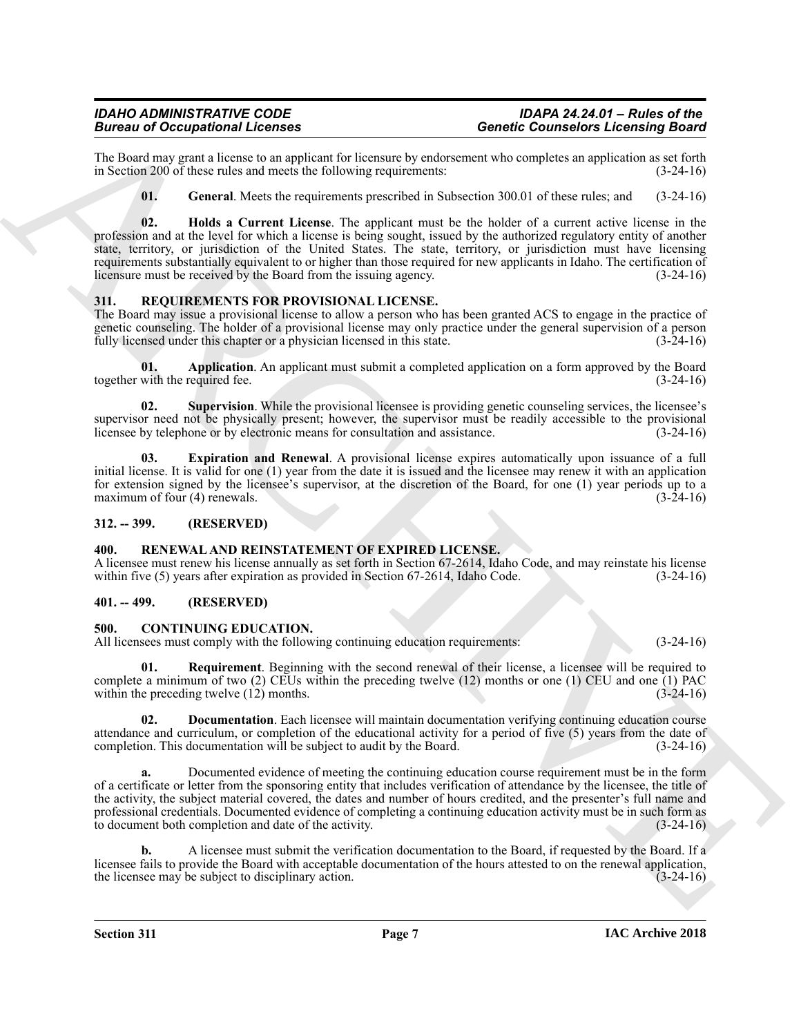The Board may grant a license to an applicant for licensure by endorsement who completes an application as set forth in Section 200 of these rules and meets the following requirements: (3-24-16) in Section 200 of these rules and meets the following requirements:

<span id="page-6-10"></span><span id="page-6-9"></span>**01. General**. Meets the requirements prescribed in Subsection 300.01 of these rules; and (3-24-16)

Becomes of Occupation Licenses<br>
The three interactions of the matter interaction of the state of the matter of the state of the state of the state of the state of the state of the state of the state of the state of the st **02. Holds a Current License**. The applicant must be the holder of a current active license in the profession and at the level for which a license is being sought, issued by the authorized regulatory entity of another state, territory, or jurisdiction of the United States. The state, territory, or jurisdiction must have licensing requirements substantially equivalent to or higher than those required for new applicants in Idaho. The certification of licensure must be received by the Board from the issuing agency. (3-24-16)

# <span id="page-6-11"></span><span id="page-6-0"></span>**311. REQUIREMENTS FOR PROVISIONAL LICENSE.**

The Board may issue a provisional license to allow a person who has been granted ACS to engage in the practice of genetic counseling. The holder of a provisional license may only practice under the general supervision of a person fully licensed under this chapter or a physician licensed in this state.  $(3-24-16)$ 

<span id="page-6-12"></span>**01. Application**. An applicant must submit a completed application on a form approved by the Board together with the required fee. (3-24-16)

<span id="page-6-14"></span>**02. Supervision**. While the provisional licensee is providing genetic counseling services, the licensee's supervisor need not be physically present; however, the supervisor must be readily accessible to the provisional licensee by telephone or by electronic means for consultation and assistance. (3-24-16) licensee by telephone or by electronic means for consultation and assistance.

<span id="page-6-13"></span>**03. Expiration and Renewal**. A provisional license expires automatically upon issuance of a full initial license. It is valid for one (1) year from the date it is issued and the licensee may renew it with an application for extension signed by the licensee's supervisor, at the discretion of the Board, for one (1) year periods up to a maximum of four (4) renewals. (3-24-16)

# <span id="page-6-1"></span>**312. -- 399. (RESERVED)**

# <span id="page-6-8"></span><span id="page-6-2"></span>**400. RENEWAL AND REINSTATEMENT OF EXPIRED LICENSE.**

A licensee must renew his license annually as set forth in Section 67-2614, Idaho Code, and may reinstate his license within five (5) years after expiration as provided in Section 67-2614, Idaho Code. (3-24-16)

# <span id="page-6-3"></span>**401. -- 499. (RESERVED)**

# <span id="page-6-5"></span><span id="page-6-4"></span>**500. CONTINUING EDUCATION.**

All licensees must comply with the following continuing education requirements: (3-24-16)

<span id="page-6-7"></span>**01. Requirement**. Beginning with the second renewal of their license, a licensee will be required to complete a minimum of two  $(2)$  CEUs within the preceding twelve  $(12)$  months or one  $(1)$  CEU and one  $(1)$  PAC within the preceding twelve (12) months. (3-24-16)

<span id="page-6-6"></span>**02. Documentation**. Each licensee will maintain documentation verifying continuing education course attendance and curriculum, or completion of the educational activity for a period of five (5) years from the date of completion. This documentation will be subject to audit by the Board. (3-24-16) completion. This documentation will be subject to audit by the Board.

**a.** Documented evidence of meeting the continuing education course requirement must be in the form of a certificate or letter from the sponsoring entity that includes verification of attendance by the licensee, the title of the activity, the subject material covered, the dates and number of hours credited, and the presenter's full name and professional credentials. Documented evidence of completing a continuing education activity must be in such form as to document both completion and date of the activity. (3-24-16)

**b.** A licensee must submit the verification documentation to the Board, if requested by the Board. If a licensee fails to provide the Board with acceptable documentation of the hours attested to on the renewal application, the licensee may be subject to disciplinary action. (3-24-16) the licensee may be subject to disciplinary action.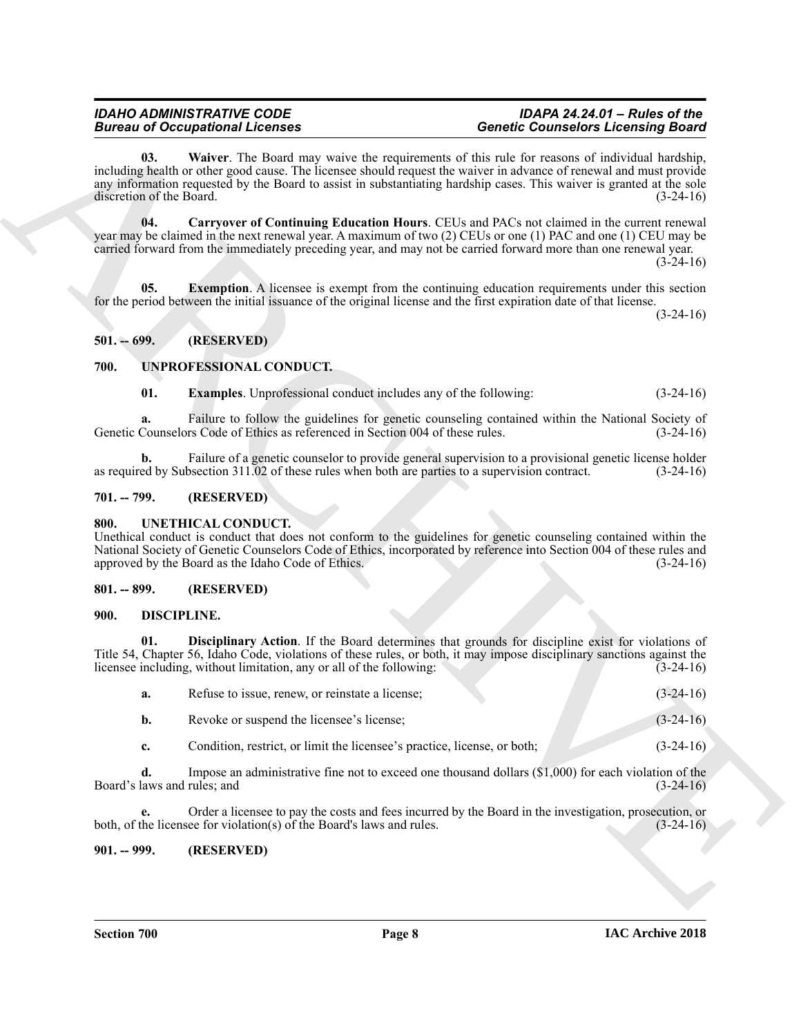# <span id="page-7-9"></span><span id="page-7-7"></span>*IDAHO ADMINISTRATIVE CODE IDAPA 24.24.01 – Rules of the Bureau of Occupational Licenses Genetic Counselors Licensing Board*

# <span id="page-7-8"></span><span id="page-7-0"></span>**501. -- 699. (RESERVED)**

# <span id="page-7-14"></span><span id="page-7-13"></span><span id="page-7-1"></span>**700. UNPROFESSIONAL CONDUCT.**

# <span id="page-7-2"></span>**701. -- 799. (RESERVED)**

# <span id="page-7-12"></span><span id="page-7-3"></span>**800. UNETHICAL CONDUCT.**

# <span id="page-7-4"></span>**801. -- 899. (RESERVED)**

# <span id="page-7-11"></span><span id="page-7-10"></span><span id="page-7-5"></span>**900. DISCIPLINE.**

|                                   | <b>Bureau of Occupational Licenses</b>                                                           | <b>Genetic Counselors Licensing Board</b>                                                                                                                                                                                                                                                                                                     |             |
|-----------------------------------|--------------------------------------------------------------------------------------------------|-----------------------------------------------------------------------------------------------------------------------------------------------------------------------------------------------------------------------------------------------------------------------------------------------------------------------------------------------|-------------|
| 03.<br>discretion of the Board.   |                                                                                                  | Waiver. The Board may waive the requirements of this rule for reasons of individual hardship,<br>including health or other good cause. The licensee should request the waiver in advance of renewal and must provide<br>any information requested by the Board to assist in substantiating hardship cases. This waiver is granted at the sole | $(3-24-16)$ |
| 04.                               |                                                                                                  | Carryover of Continuing Education Hours. CEUs and PACs not claimed in the current renewal<br>year may be claimed in the next renewal year. A maximum of two (2) CEUs or one (1) PAC and one (1) CEU may be<br>carried forward from the immediately preceding year, and may not be carried forward more than one renewal year.                 | $(3-24-16)$ |
| 05.                               |                                                                                                  | <b>Exemption.</b> A licensee is exempt from the continuing education requirements under this section<br>for the period between the initial issuance of the original license and the first expiration date of that license.                                                                                                                    | $(3-24-16)$ |
| $501. - 699.$                     | (RESERVED)                                                                                       |                                                                                                                                                                                                                                                                                                                                               |             |
| 700.                              | UNPROFESSIONAL CONDUCT.                                                                          |                                                                                                                                                                                                                                                                                                                                               |             |
| 01.                               | <b>Examples.</b> Unprofessional conduct includes any of the following:                           |                                                                                                                                                                                                                                                                                                                                               | $(3-24-16)$ |
| a.                                | Genetic Counselors Code of Ethics as referenced in Section 004 of these rules.                   | Failure to follow the guidelines for genetic counseling contained within the National Society of                                                                                                                                                                                                                                              | $(3-24-16)$ |
| b.                                | as required by Subsection 311.02 of these rules when both are parties to a supervision contract. | Failure of a genetic counselor to provide general supervision to a provisional genetic license holder                                                                                                                                                                                                                                         | $(3-24-16)$ |
| $701. - 799.$                     | (RESERVED)                                                                                       |                                                                                                                                                                                                                                                                                                                                               |             |
| 800.                              | UNETHICAL CONDUCT.<br>approved by the Board as the Idaho Code of Ethics.                         | Unethical conduct is conduct that does not conform to the guidelines for genetic counseling contained within the<br>National Society of Genetic Counselors Code of Ethics, incorporated by reference into Section 004 of these rules and                                                                                                      | $(3-24-16)$ |
| $801. - 899.$                     | (RESERVED)                                                                                       |                                                                                                                                                                                                                                                                                                                                               |             |
| 900.                              | <b>DISCIPLINE.</b>                                                                               |                                                                                                                                                                                                                                                                                                                                               |             |
| 01.                               | licensee including, without limitation, any or all of the following:                             | Disciplinary Action. If the Board determines that grounds for discipline exist for violations of<br>Title 54, Chapter 56, Idaho Code, violations of these rules, or both, it may impose disciplinary sanctions against the                                                                                                                    | $(3-24-16)$ |
| a.                                | Refuse to issue, renew, or reinstate a license;                                                  |                                                                                                                                                                                                                                                                                                                                               | $(3-24-16)$ |
| b.                                | Revoke or suspend the licensee's license;                                                        |                                                                                                                                                                                                                                                                                                                                               | $(3-24-16)$ |
| c.                                | Condition, restrict, or limit the licensee's practice, license, or both;                         |                                                                                                                                                                                                                                                                                                                                               | $(3-24-16)$ |
| d.<br>Board's laws and rules; and |                                                                                                  | Impose an administrative fine not to exceed one thousand dollars $(\$1,000)$ for each violation of the                                                                                                                                                                                                                                        | $(3-24-16)$ |
| e.                                | both, of the licensee for violation(s) of the Board's laws and rules.                            | Order a licensee to pay the costs and fees incurred by the Board in the investigation, prosecution, or                                                                                                                                                                                                                                        | $(3-24-16)$ |
|                                   |                                                                                                  |                                                                                                                                                                                                                                                                                                                                               |             |

# <span id="page-7-6"></span>**901. -- 999. (RESERVED)**